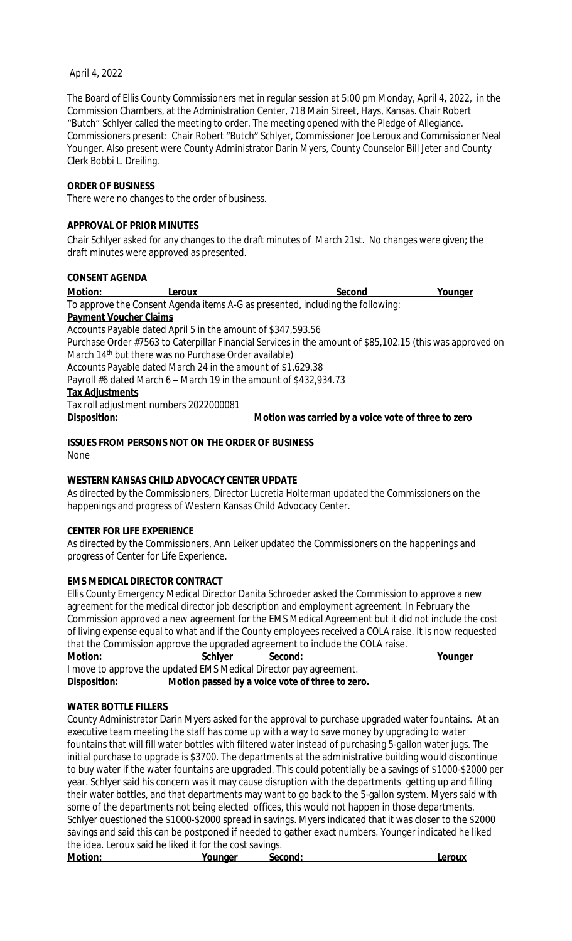#### April 4, 2022

The Board of Ellis County Commissioners met in regular session at 5:00 pm Monday, April 4, 2022, in the Commission Chambers, at the Administration Center, 718 Main Street, Hays, Kansas. Chair Robert "Butch" Schlyer called the meeting to order. The meeting opened with the Pledge of Allegiance. Commissioners present: Chair Robert "Butch" Schlyer, Commissioner Joe Leroux and Commissioner Neal Younger. Also present were County Administrator Darin Myers, County Counselor Bill Jeter and County Clerk Bobbi L. Dreiling.

#### **ORDER OF BUSINESS**

There were no changes to the order of business.

#### **APPROVAL OF PRIOR MINUTES**

Chair Schlyer asked for any changes to the draft minutes of March 21st. No changes were given; the draft minutes were approved as presented.

#### **CONSENT AGENDA**

**Motion: Leroux Second Younger** To approve the Consent Agenda items A-G as presented, including the following: **Payment Voucher Claims** Accounts Payable dated April 5 in the amount of \$347,593.56 Purchase Order #7563 to Caterpillar Financial Services in the amount of \$85,102.15 (this was approved on March 14<sup>th</sup> but there was no Purchase Order available) Accounts Payable dated March 24 in the amount of \$1,629.38 Payroll #6 dated March 6 – March 19 in the amount of \$432,934.73 **Tax Adjustments** Tax roll adjustment numbers 2022000081 **Disposition: Motion was carried by a voice vote of three to zero**

**ISSUES FROM PERSONS NOT ON THE ORDER OF BUSINESS** None

# **WESTERN KANSAS CHILD ADVOCACY CENTER UPDATE**

As directed by the Commissioners, Director Lucretia Holterman updated the Commissioners on the happenings and progress of Western Kansas Child Advocacy Center.

# **CENTER FOR LIFE EXPERIENCE**

As directed by the Commissioners, Ann Leiker updated the Commissioners on the happenings and progress of Center for Life Experience.

# **EMS MEDICAL DIRECTOR CONTRACT**

Ellis County Emergency Medical Director Danita Schroeder asked the Commission to approve a new agreement for the medical director job description and employment agreement. In February the Commission approved a new agreement for the EMS Medical Agreement but it did not include the cost of living expense equal to what and if the County employees received a COLA raise. It is now requested that the Commission approve the upgraded agreement to include the COLA raise.

| <b>Motion:</b> | <b>Schlyer</b> | Second:                                                           | <u>Younger</u> |
|----------------|----------------|-------------------------------------------------------------------|----------------|
|                |                | I move to approve the updated EMS Medical Director pay agreement. |                |
| Disposition:   |                | Motion passed by a voice vote of three to zero.                   |                |

# **WATER BOTTLE FILLERS**

County Administrator Darin Myers asked for the approval to purchase upgraded water fountains. At an executive team meeting the staff has come up with a way to save money by upgrading to water fountains that will fill water bottles with filtered water instead of purchasing 5-gallon water jugs. The initial purchase to upgrade is \$3700. The departments at the administrative building would discontinue to buy water if the water fountains are upgraded. This could potentially be a savings of \$1000-\$2000 per year. Schlyer said his concern was it may cause disruption with the departments getting up and filling their water bottles, and that departments may want to go back to the 5-gallon system. Myers said with some of the departments not being elected offices, this would not happen in those departments. Schlyer questioned the \$1000-\$2000 spread in savings. Myers indicated that it was closer to the \$2000 savings and said this can be postponed if needed to gather exact numbers. Younger indicated he liked the idea. Leroux said he liked it for the cost savings.

| <b>Motion:</b> | Younaer | Second: | $\bigcap$ |
|----------------|---------|---------|-----------|
|                |         |         |           |
|                |         |         |           |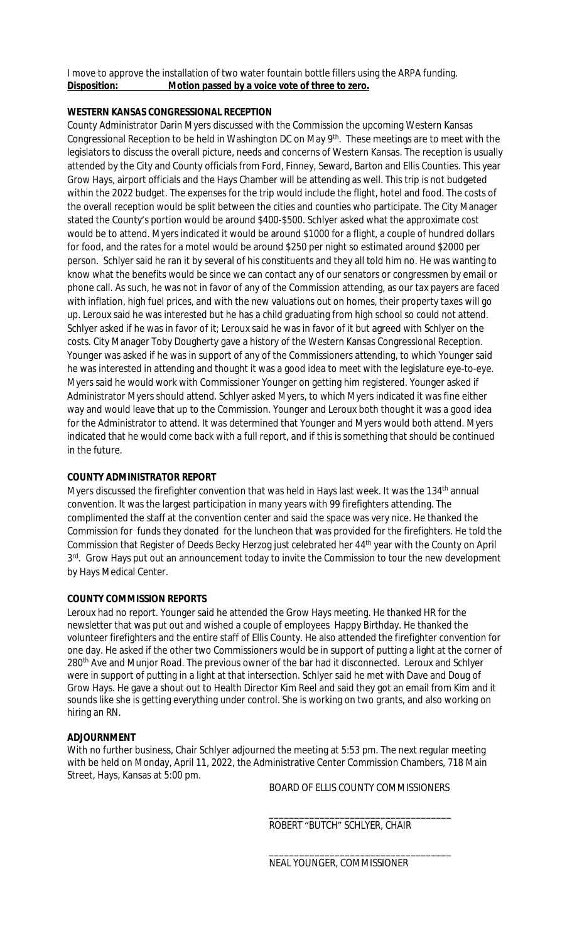I move to approve the installation of two water fountain bottle fillers using the ARPA funding. **Disposition: Motion passed by a voice vote of three to zero.**

# **WESTERN KANSAS CONGRESSIONAL RECEPTION**

County Administrator Darin Myers discussed with the Commission the upcoming Western Kansas Congressional Reception to be held in Washington DC on May 9<sup>th</sup>. These meetings are to meet with the legislators to discuss the overall picture, needs and concerns of Western Kansas. The reception is usually attended by the City and County officials from Ford, Finney, Seward, Barton and Ellis Counties. This year Grow Hays, airport officials and the Hays Chamber will be attending as well. This trip is not budgeted within the 2022 budget. The expenses for the trip would include the flight, hotel and food. The costs of the overall reception would be split between the cities and counties who participate. The City Manager stated the County's portion would be around \$400-\$500. Schlyer asked what the approximate cost would be to attend. Myers indicated it would be around \$1000 for a flight, a couple of hundred dollars for food, and the rates for a motel would be around \$250 per night so estimated around \$2000 per person. Schlyer said he ran it by several of his constituents and they all told him no. He was wanting to know what the benefits would be since we can contact any of our senators or congressmen by email or phone call. As such, he was not in favor of any of the Commission attending, as our tax payers are faced with inflation, high fuel prices, and with the new valuations out on homes, their property taxes will go up. Leroux said he was interested but he has a child graduating from high school so could not attend. Schlyer asked if he was in favor of it; Leroux said he was in favor of it but agreed with Schlyer on the costs. City Manager Toby Dougherty gave a history of the Western Kansas Congressional Reception. Younger was asked if he was in support of any of the Commissioners attending, to which Younger said he was interested in attending and thought it was a good idea to meet with the legislature eye-to-eye. Myers said he would work with Commissioner Younger on getting him registered. Younger asked if Administrator Myers should attend. Schlyer asked Myers, to which Myers indicated it was fine either way and would leave that up to the Commission. Younger and Leroux both thought it was a good idea for the Administrator to attend. It was determined that Younger and Myers would both attend. Myers indicated that he would come back with a full report, and if this is something that should be continued in the future.

# **COUNTY ADMINISTRATOR REPORT**

Myers discussed the firefighter convention that was held in Hays last week. It was the 134<sup>th</sup> annual convention. It was the largest participation in many years with 99 firefighters attending. The complimented the staff at the convention center and said the space was very nice. He thanked the Commission for funds they donated for the luncheon that was provided for the firefighters. He told the Commission that Register of Deeds Becky Herzog just celebrated her 44th year with the County on April 3<sup>rd</sup>. Grow Hays put out an announcement today to invite the Commission to tour the new development by Hays Medical Center.

# **COUNTY COMMISSION REPORTS**

Leroux had no report. Younger said he attended the Grow Hays meeting. He thanked HR for the newsletter that was put out and wished a couple of employees Happy Birthday. He thanked the volunteer firefighters and the entire staff of Ellis County. He also attended the firefighter convention for one day. He asked if the other two Commissioners would be in support of putting a light at the corner of 280<sup>th</sup> Ave and Munjor Road. The previous owner of the bar had it disconnected. Leroux and Schlyer were in support of putting in a light at that intersection. Schlyer said he met with Dave and Doug of Grow Hays. He gave a shout out to Health Director Kim Reel and said they got an email from Kim and it sounds like she is getting everything under control. She is working on two grants, and also working on hiring an RN.

# **ADJOURNMENT**

With no further business, Chair Schlyer adjourned the meeting at 5:53 pm. The next regular meeting with be held on Monday, April 11, 2022, the Administrative Center Commission Chambers, 718 Main Street, Hays, Kansas at 5:00 pm.

BOARD OF ELLIS COUNTY COMMISSIONERS

\_\_\_\_\_\_\_\_\_\_\_\_\_\_\_\_\_\_\_\_\_\_\_\_\_\_\_\_\_\_\_\_\_\_\_\_

\_\_\_\_\_\_\_\_\_\_\_\_\_\_\_\_\_\_\_\_\_\_\_\_\_\_\_\_\_\_\_\_\_\_\_\_ ROBERT "BUTCH" SCHLYER, CHAIR

NEAL YOUNGER, COMMISSIONER